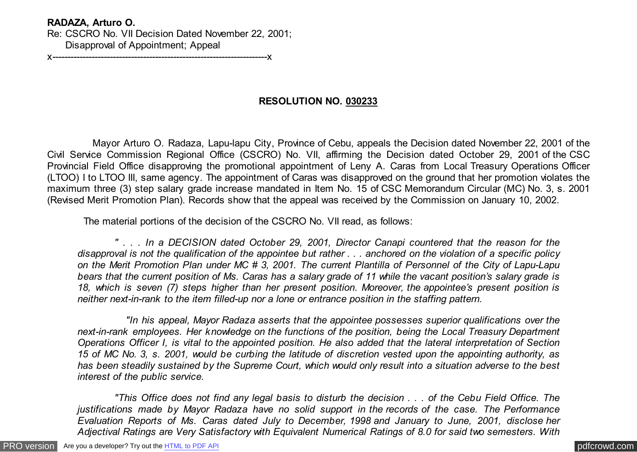## **RADAZA, Arturo O.**

Re: CSCRO No. VII Decision Dated November 22, 2001; Disapproval of Appointment; Appeal

x-----------------------------------------------------------------------x

# **RESOLUTION NO. 030233**

 Mayor Arturo O. Radaza, Lapu-lapu City, Province of Cebu, appeals the Decision dated November 22, 2001 of the Civil Service Commission Regional Office (CSCRO) No. VII, affirming the Decision dated October 29, 2001 of the CSC Provincial Field Office disapproving the promotional appointment of Leny A. Caras from Local Treasury Operations Officer (LTOO) I to LTOO III, same agency. The appointment of Caras was disapproved on the ground that her promotion violates the maximum three (3) step salary grade increase mandated in Item No. 15 of CSC Memorandum Circular (MC) No. 3, s. 2001 (Revised Merit Promotion Plan). Records show that the appeal was received by the Commission on January 10, 2002.

The material portions of the decision of the CSCRO No. VII read, as follows:

 *" . . . In a DECISION dated October 29, 2001, Director Canapi countered that the reason for the disapproval is not the qualification of the appointee but rather . . . anchored on the violation of a specific policy on the Merit Promotion Plan under MC # 3, 2001. The current Plantilla of Personnel of the City of Lapu-Lapu bears that the current position of Ms. Caras has a salary grade of 11 while the vacant position's salary grade is 18, which is seven (7) steps higher than her present position. Moreover, the appointee's present position is neither next-in-rank to the item filled-up nor a lone or entrance position in the staffing pattern.*

 *"In his appeal, Mayor Radaza asserts that the appointee possesses superior qualifications over the next-in-rank employees. Her knowledge on the functions of the position, being the Local Treasury Department Operations Officer I, is vital to the appointed position. He also added that the lateral interpretation of Section 15 of MC No. 3, s. 2001, would be curbing the latitude of discretion vested upon the appointing authority, as has been steadily sustained by the Supreme Court, which would only result into a situation adverse to the best interest of the public service.*

 *"This Office does not find any legal basis to disturb the decision . . . of the Cebu Field Office. The justifications made by Mayor Radaza have no solid support in the records of the case. The Performance Evaluation Reports of Ms. Caras dated July to December, 1998 and January to June, 2001, disclose her Adjectival Ratings are Very Satisfactory with Equivalent Numerical Ratings of 8.0 for said two semesters. With*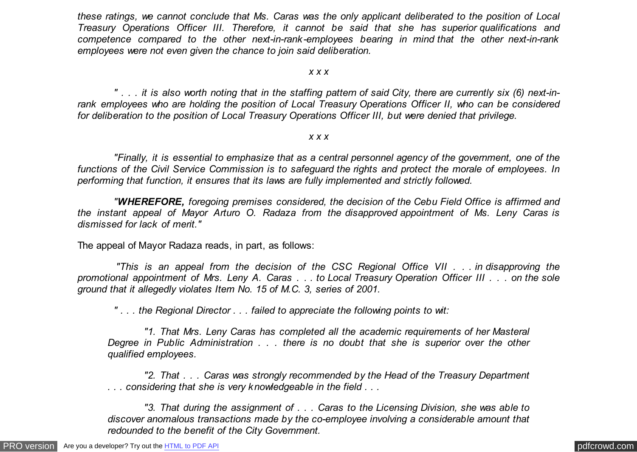*these ratings, we cannot conclude that Ms. Caras was the only applicant deliberated to the position of Local Treasury Operations Officer III. Therefore, it cannot be said that she has superior qualifications and competence compared to the other next-in-rank-employees bearing in mind that the other next-in-rank employees were not even given the chance to join said deliberation.*

## *x x x*

 *" . . . it is also worth noting that in the staffing pattern of said City, there are currently six (6) next-inrank employees who are holding the position of Local Treasury Operations Officer II, who can be considered for deliberation to the position of Local Treasury Operations Officer III, but were denied that privilege.*

### *x x x*

 *"Finally, it is essential to emphasize that as a central personnel agency of the government, one of the functions of the Civil Service Commission is to safeguard the rights and protect the morale of employees. In performing that function, it ensures that its laws are fully implemented and strictly followed.*

 *"WHEREFORE, foregoing premises considered, the decision of the Cebu Field Office is affirmed and the instant appeal of Mayor Arturo O. Radaza from the disapproved appointment of Ms. Leny Caras is dismissed for lack of merit."*

The appeal of Mayor Radaza reads, in part, as follows:

 *"This is an appeal from the decision of the CSC Regional Office VII . . . in disapproving the promotional appointment of Mrs. Leny A. Caras . . . to Local Treasury Operation Officer III . . . on the sole ground that it allegedly violates Item No. 15 of M.C. 3, series of 2001.*

 *" . . . the Regional Director . . . failed to appreciate the following points to wit:*

 *"1. That Mrs. Leny Caras has completed all the academic requirements of her Masteral Degree in Public Administration . . . there is no doubt that she is superior over the other qualified employees.*

 *"2. That . . . Caras was strongly recommended by the Head of the Treasury Department . . . considering that she is very knowledgeable in the field . . .*

 *"3. That during the assignment of . . . Caras to the Licensing Division, she was able to discover anomalous transactions made by the co-employee involving a considerable amount that redounded to the benefit of the City Government.*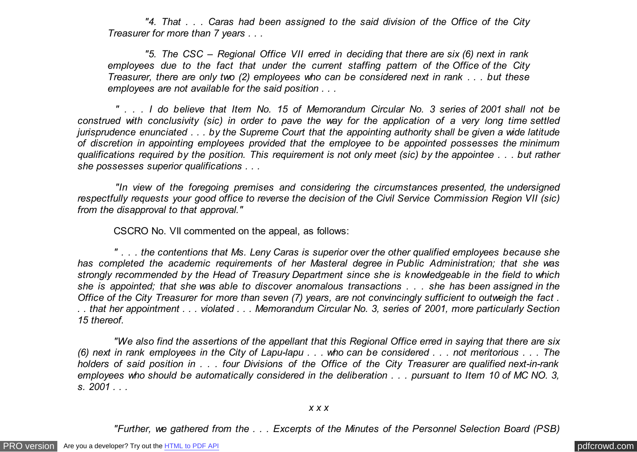*"4. That . . . Caras had been assigned to the said division of the Office of the City Treasurer for more than 7 years . . .*

 *"5. The CSC – Regional Office VII erred in deciding that there are six (6) next in rank employees due to the fact that under the current staffing pattern of the Office of the City Treasurer, there are only two (2) employees who can be considered next in rank . . . but these employees are not available for the said position . . .*

 *" . . . I do believe that Item No. 15 of Memorandum Circular No. 3 series of 2001 shall not be construed with conclusivity (sic) in order to pave the way for the application of a very long time settled jurisprudence enunciated . . . by the Supreme Court that the appointing authority shall be given a wide latitude of discretion in appointing employees provided that the employee to be appointed possesses the minimum qualifications required by the position. This requirement is not only meet (sic) by the appointee . . . but rather she possesses superior qualifications . . .*

 *"In view of the foregoing premises and considering the circumstances presented, the undersigned respectfully requests your good office to reverse the decision of the Civil Service Commission Region VII (sic) from the disapproval to that approval."*

CSCRO No. VII commented on the appeal, as follows:

 *" . . . the contentions that Ms. Leny Caras is superior over the other qualified employees because she has completed the academic requirements of her Masteral degree in Public Administration; that she was strongly recommended by the Head of Treasury Department since she is knowledgeable in the field to which she is appointed; that she was able to discover anomalous transactions . . . she has been assigned in the Office of the City Treasurer for more than seven (7) years, are not convincingly sufficient to outweigh the fact . . . that her appointment . . . violated . . . Memorandum Circular No. 3, series of 2001, more particularly Section 15 thereof.*

 *"We also find the assertions of the appellant that this Regional Office erred in saying that there are six (6) next in rank employees in the City of Lapu-lapu . . . who can be considered . . . not meritorious . . . The holders of said position in . . . four Divisions of the Office of the City Treasurer are qualified next-in-rank employees who should be automatically considered in the deliberation . . . pursuant to Item 10 of MC NO. 3, s. 2001 . . .*

#### *x x x*

 *"Further, we gathered from the . . . Excerpts of the Minutes of the Personnel Selection Board (PSB)*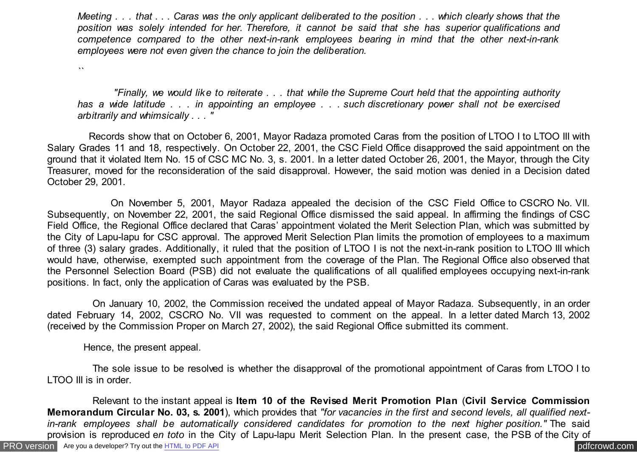*Meeting . . . that . . . Caras was the only applicant deliberated to the position . . . which clearly shows that the position was solely intended for her. Therefore, it cannot be said that she has superior qualifications and competence compared to the other next-in-rank employees bearing in mind that the other next-in-rank employees were not even given the chance to join the deliberation.*

*``*

 *"Finally, we would like to reiterate . . . that while the Supreme Court held that the appointing authority has a wide latitude . . . in appointing an employee . . . such discretionary power shall not be exercised arbitrarily and whimsically . . . "*

 Records show that on October 6, 2001, Mayor Radaza promoted Caras from the position of LTOO I to LTOO III with Salary Grades 11 and 18, respectively. On October 22, 2001, the CSC Field Office disapproved the said appointment on the ground that it violated Item No. 15 of CSC MC No. 3, s. 2001. In a letter dated October 26, 2001, the Mayor, through the City Treasurer, moved for the reconsideration of the said disapproval. However, the said motion was denied in a Decision dated October 29, 2001.

 On November 5, 2001, Mayor Radaza appealed the decision of the CSC Field Office to CSCRO No. VII. Subsequently, on November 22, 2001, the said Regional Office dismissed the said appeal. In affirming the findings of CSC Field Office, the Regional Office declared that Caras' appointment violated the Merit Selection Plan, which was submitted by the City of Lapu-lapu for CSC approval. The approved Merit Selection Plan limits the promotion of employees to a maximum of three (3) salary grades. Additionally, it ruled that the position of LTOO I is not the next-in-rank position to LTOO III which would have, otherwise, exempted such appointment from the coverage of the Plan. The Regional Office also observed that the Personnel Selection Board (PSB) did not evaluate the qualifications of all qualified employees occupying next-in-rank positions. In fact, only the application of Caras was evaluated by the PSB.

 On January 10, 2002, the Commission received the undated appeal of Mayor Radaza. Subsequently, in an order dated February 14, 2002, CSCRO No. VII was requested to comment on the appeal. In a letter dated March 13, 2002 (received by the Commission Proper on March 27, 2002), the said Regional Office submitted its comment.

Hence, the present appeal.

 The sole issue to be resolved is whether the disapproval of the promotional appointment of Caras from LTOO I to LTOO III is in order.

[PRO version](http://pdfcrowd.com/customize/) Are you a developer? Try out th[e HTML to PDF API](http://pdfcrowd.com/html-to-pdf-api/?ref=pdf) process and the community of the HTML to PDF API posterior and the community of the community of the community of the community of the community of the community Relevant to the instant appeal is **Item 10 of the Revised Merit Promotion Plan** (**Civil Service Commission Memorandum Circular No. 03, s. 2001**), which provides that *"for vacancies in the first and second levels, all qualified nextin-rank employees shall be automatically considered candidates for promotion to the next higher position."* The said provision is reproduced e*n toto* in the City of Lapu-lapu Merit Selection Plan. In the present case, the PSB of the City of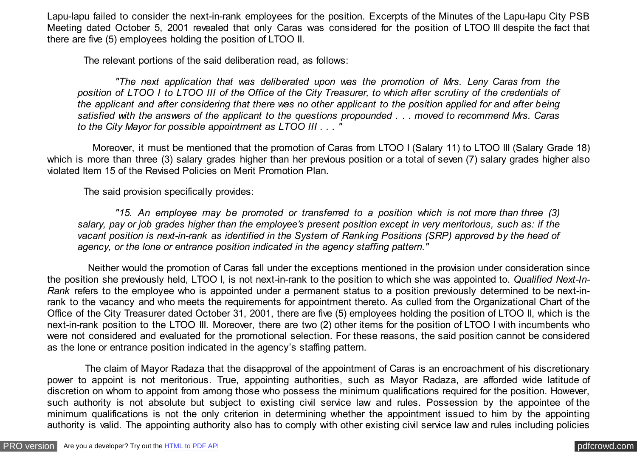Lapu-lapu failed to consider the next-in-rank employees for the position. Excerpts of the Minutes of the Lapu-lapu City PSB Meeting dated October 5, 2001 revealed that only Caras was considered for the position of LTOO III despite the fact that there are five (5) employees holding the position of LTOO II.

The relevant portions of the said deliberation read, as follows:

 *"The next application that was deliberated upon was the promotion of Mrs. Leny Caras from the position of LTOO I to LTOO III of the Office of the City Treasurer, to which after scrutiny of the credentials of the applicant and after considering that there was no other applicant to the position applied for and after being satisfied with the answers of the applicant to the questions propounded . . . moved to recommend Mrs. Caras to the City Mayor for possible appointment as LTOO III . . . "*

 Moreover, it must be mentioned that the promotion of Caras from LTOO I (Salary 11) to LTOO III (Salary Grade 18) which is more than three (3) salary grades higher than her previous position or a total of seven (7) salary grades higher also violated Item 15 of the Revised Policies on Merit Promotion Plan.

The said provision specifically provides:

 *"15. An employee may be promoted or transferred to a position which is not more than three (3) salary, pay or job grades higher than the employee's present position except in very meritorious, such as: if the vacant position is next-in-rank as identified in the System of Ranking Positions (SRP) approved by the head of agency, or the lone or entrance position indicated in the agency staffing pattern."*

 Neither would the promotion of Caras fall under the exceptions mentioned in the provision under consideration since the position she previously held, LTOO I, is not next-in-rank to the position to which she was appointed to. *Qualified Next-In-Rank* refers to the employee who is appointed under a permanent status to a position previously determined to be next-inrank to the vacancy and who meets the requirements for appointment thereto. As culled from the Organizational Chart of the Office of the City Treasurer dated October 31, 2001, there are five (5) employees holding the position of LTOO II, which is the next-in-rank position to the LTOO III. Moreover, there are two (2) other items for the position of LTOO I with incumbents who were not considered and evaluated for the promotional selection. For these reasons, the said position cannot be considered as the lone or entrance position indicated in the agency's staffing pattern.

 The claim of Mayor Radaza that the disapproval of the appointment of Caras is an encroachment of his discretionary power to appoint is not meritorious. True, appointing authorities, such as Mayor Radaza, are afforded wide latitude of discretion on whom to appoint from among those who possess the minimum qualifications required for the position. However, such authority is not absolute but subject to existing civil service law and rules. Possession by the appointee of the minimum qualifications is not the only criterion in determining whether the appointment issued to him by the appointing authority is valid. The appointing authority also has to comply with other existing civil service law and rules including policies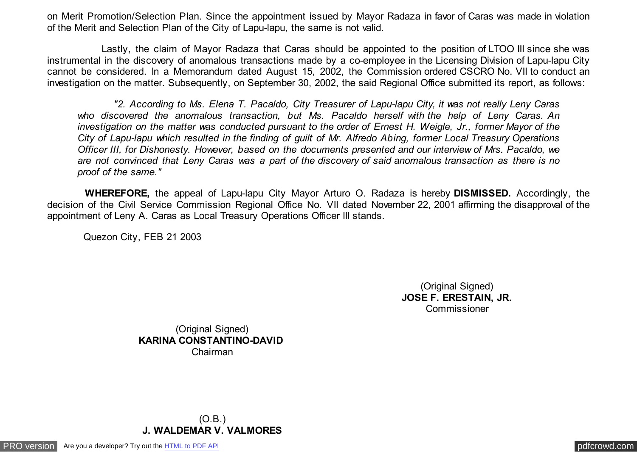on Merit Promotion/Selection Plan. Since the appointment issued by Mayor Radaza in favor of Caras was made in violation of the Merit and Selection Plan of the City of Lapu-lapu, the same is not valid.

 Lastly, the claim of Mayor Radaza that Caras should be appointed to the position of LTOO III since she was instrumental in the discovery of anomalous transactions made by a co-employee in the Licensing Division of Lapu-lapu City cannot be considered. In a Memorandum dated August 15, 2002, the Commission ordered CSCRO No. VII to conduct an investigation on the matter. Subsequently, on September 30, 2002, the said Regional Office submitted its report, as follows:

 *"2. According to Ms. Elena T. Pacaldo, City Treasurer of Lapu-lapu City, it was not really Leny Caras who discovered the anomalous transaction, but Ms. Pacaldo herself with the help of Leny Caras. An investigation on the matter was conducted pursuant to the order of Ernest H. Weigle, Jr., former Mayor of the City of Lapu-lapu which resulted in the finding of guilt of Mr. Alfredo Abing, former Local Treasury Operations Officer III, for Dishonesty. However, based on the documents presented and our interview of Mrs. Pacaldo, we are not convinced that Leny Caras was a part of the discovery of said anomalous transaction as there is no proof of the same."*

 **WHEREFORE,** the appeal of Lapu-lapu City Mayor Arturo O. Radaza is hereby **DISMISSED.** Accordingly, the decision of the Civil Service Commission Regional Office No. VII dated November 22, 2001 affirming the disapproval of the appointment of Leny A. Caras as Local Treasury Operations Officer III stands.

Quezon City, FEB 21 2003

(Original Signed) **JOSE F. ERESTAIN, JR.** Commissioner

(Original Signed) **KARINA CONSTANTINO-DAVID**  Chairman

(O.B.) **J. WALDEMAR V. VALMORES**